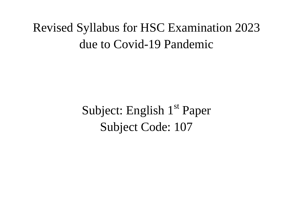## Revised Syllabus for HSC Examination 2023 due to Covid-19 Pandemic

Subject: English 1<sup>st</sup> Paper Subject Code: 107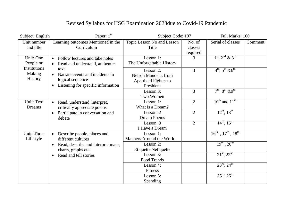| Subject: English                                                   | Paper: 1 <sup>st</sup>                                                                                                      | Subject Code: 107                                                      |                               | Full Marks: 100                       |         |
|--------------------------------------------------------------------|-----------------------------------------------------------------------------------------------------------------------------|------------------------------------------------------------------------|-------------------------------|---------------------------------------|---------|
| Unit number<br>and title                                           | Learning outcomes Mentioned in the<br>Curriculum                                                                            | Topic Lesson No and Lesson<br>Title                                    | No. of<br>classes<br>required | Serial of classes                     | Comment |
| Unit: One<br>People or<br>Institutions<br>Making<br><b>History</b> | Follow lectures and take notes<br>$\bullet$<br>Read and understand, authentic                                               | Lesson 1:<br>The Unforgettable History                                 | 3                             | $1st$ , $2nd$ & $3rd$                 |         |
|                                                                    | text<br>Narrate events and incidents in<br>$\bullet$<br>logical sequence<br>Listening for specific information<br>$\bullet$ | Lesson 2:<br>Nelson Mandela, from<br>Apartheid Fighter to<br>President | $\overline{3}$                | $4^{th}$ , $5^{th}$ & $6^{th}$        |         |
|                                                                    |                                                                                                                             | Lesson 3:<br>Two Women                                                 | 3                             | $7^{th}$ , $8^{th}$ & 9 <sup>th</sup> |         |
| Unit: Two<br>Dreams                                                | Read, understand, interpret,<br>$\bullet$<br>critically appreciate poems                                                    | Lesson 1:<br>What is a Dream?                                          | $\overline{2}$                | $10^{th}$ and $11^{th}$               |         |
|                                                                    | Participate in conversation and<br>debate                                                                                   | Lesson: 2<br><b>Dream Poems</b>                                        | $\overline{2}$                | $12^{th}$ , $13^{th}$                 |         |
|                                                                    |                                                                                                                             | Lesson: 3<br>I Have a Dream                                            | 2                             | $14^{th}$ , $15^{th}$                 |         |
| Unit: Three<br>Lifestyle                                           | Describe people, places and<br>$\bullet$<br>different cultures                                                              | Lesson 1:<br>Manners Around the World                                  |                               | $16^{th}$ , $17^{th}$ , $18^{th}$     |         |
|                                                                    | Read, describe and interpret maps,<br>$\bullet$<br>charts, graphs etc.                                                      | Lesson 2:<br><b>Etiquette Netiquette</b>                               |                               | $19^{th}$ , $20^{th}$                 |         |
|                                                                    | Read and tell stories                                                                                                       | Lesson 3:<br>Food Trends                                               |                               | $21^{st}$ , $22^{nd}$                 |         |
|                                                                    |                                                                                                                             | Lesson 4:<br>Fitness                                                   |                               | $23^{\text{rd}}$ , $24^{\text{th}}$   |         |
|                                                                    |                                                                                                                             | Lesson 5:<br>Spending                                                  |                               | $25^{th}$ , $26^{th}$                 |         |

## Revised Syllabus for HSC Examination 2023due to Covid-19 Pandemic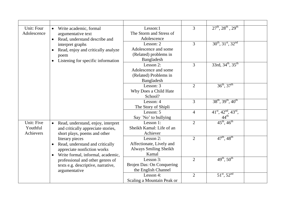| Unit: Four<br>Adolescence           | Write academic, formal<br>$\bullet$<br>argumentative text<br>Read, understand describe and<br>$\bullet$                                          | Lesson:1<br>The Storm and Stress of<br>Adolescence                       | $\overline{3}$ | $27^{th}$ , $28^{th}$ , $29^{th}$                                            |  |
|-------------------------------------|--------------------------------------------------------------------------------------------------------------------------------------------------|--------------------------------------------------------------------------|----------------|------------------------------------------------------------------------------|--|
|                                     | interpret graphs<br>Read, enjoy and critically analyze<br>$\bullet$<br>poem<br>Listening for specific information<br>$\bullet$                   | Lesson: 2<br>Adolescence and some<br>(Related) problems in<br>Bangladesh | 3              | $30^{th}$ , $31^{st}$ , $32^{nd}$                                            |  |
|                                     |                                                                                                                                                  | Lesson 2:<br>Adolescence and some<br>(Related) Problems in<br>Bangladesh | 3              | $33rd, 34th, 35th$                                                           |  |
|                                     |                                                                                                                                                  | Lesson: 3<br>Why Does a Child Hate<br>School?                            | $\overline{2}$ | $36^{th}$ , $37^{th}$                                                        |  |
|                                     |                                                                                                                                                  | Lesson: 4<br>The Story of Shipli                                         | $\overline{3}$ | $38^{th}$ , $39^{th}$ , $40^{th}$                                            |  |
|                                     |                                                                                                                                                  | Lesson: 5<br>Say 'No' to bullying                                        | $\overline{4}$ | $41^{\text{st}}$ , $42^{\text{nd}}$ , $43^{\text{rd}}$ ,<br>$44^{\text{th}}$ |  |
| Unit: Five<br>Youthful<br>Achievers | Read, understand, enjoy, interpret<br>$\bullet$<br>and critically appreciate stories,<br>short plays, poems and other                            | Lesson 1:<br>Sheikh Kamal: Life of an<br>Achiever                        | $\overline{2}$ | $45^{\text{th}}$ , $46^{\text{th}}$                                          |  |
|                                     | literary pieces<br>Read, understand and critically<br>$\bullet$<br>appreciate nonfiction works<br>Write formal, informal, academic,<br>$\bullet$ | Lesson 2:<br>Affectionate, Lively and<br>Always Smiling Sheikh<br>Kamal  | 2              | $47^{\rm th}$ , $48^{\rm th}$                                                |  |
|                                     | professional and other genres of<br>texts e.g. descriptive, narrative,<br>argumentative                                                          | Lesson 3:<br>Brojen Das: On Conquering<br>the English Channel            | $\overline{2}$ | $49^{\text{th}}$ , $50^{\text{th}}$                                          |  |
|                                     |                                                                                                                                                  | Lesson 4:<br>Scaling a Mountain Peak or                                  | $\overline{2}$ | $51^{\text{st}}$ , $52^{\text{nd}}$                                          |  |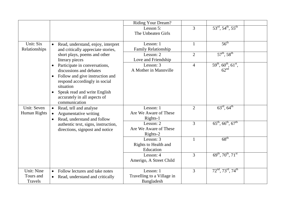|                                    |                                     |                                                                                                                                                                                                                            | Riding Your Dream?                                    |                |                                                                    |  |
|------------------------------------|-------------------------------------|----------------------------------------------------------------------------------------------------------------------------------------------------------------------------------------------------------------------------|-------------------------------------------------------|----------------|--------------------------------------------------------------------|--|
|                                    |                                     |                                                                                                                                                                                                                            | Lesson 5:<br>The Unbeaten Girls                       | $\overline{3}$ | $53^{\text{rd}}, 54^{\text{th}}, 55^{\text{th}}$                   |  |
| Unit: Six<br>Relationships         | $\bullet$                           | Read, understand, enjoy, interpret<br>and critically appreciate stories,                                                                                                                                                   | Lesson: 1<br>Family Relationship                      | $\mathbf{1}$   | $56^{\text{th}}$                                                   |  |
|                                    |                                     | short plays, poems and other<br>literary pieces                                                                                                                                                                            | Lesson: 2<br>Love and Friendship                      | $\overline{2}$ | $57^{\rm th}$ , $58^{\rm th}$                                      |  |
|                                    | $\bullet$<br>$\bullet$<br>$\bullet$ | Participate in conversations,<br>discussions and debates<br>Follow and give instruction and<br>respond accordingly in social<br>situation<br>Speak read and write English<br>accurately in all aspects of<br>communication | Lesson: 3<br>A Mother in Mannville                    | $\overline{4}$ | $59th$ , 60 <sup>th</sup> , 61 <sup>st</sup> ,<br>62 <sup>nd</sup> |  |
| Unit: Seven<br>Human Rights        | $\bullet$<br>$\bullet$<br>$\bullet$ | Read, tell and analyse<br>Argumentative writing<br>Read, understand and follow                                                                                                                                             | Lesson: 1<br>Are We Aware of These<br>Rights-1        | 2              | $63^{\text{rd}}, 64^{\text{th}}$                                   |  |
|                                    |                                     | authentic text, signs, instruction,<br>directions, signpost and notice                                                                                                                                                     | Lesson: 2<br>Are We Aware of These<br>Rights-2        | 3              | $65^{\text{th}}$ , $66^{\text{th}}$ , $67^{\text{th}}$             |  |
|                                    |                                     |                                                                                                                                                                                                                            | Lesson: 3<br>Rights to Health and<br>Education        | $\mathbf{1}$   | $68^{\text{th}}$                                                   |  |
|                                    |                                     |                                                                                                                                                                                                                            | Lesson: 4<br>Amerigo, A Street Child                  | $\overline{3}$ | $69^{th}$ , $70^{th}$ , $71^{st}$                                  |  |
| Unit: Nine<br>Tours and<br>Travels | $\bullet$<br>$\bullet$              | Follow lectures and take notes<br>Read, understand and critically                                                                                                                                                          | Lesson: 1<br>Travelling to a Village in<br>Bangladesh | $\overline{3}$ | $72nd$ , $73rd$ , $74th$                                           |  |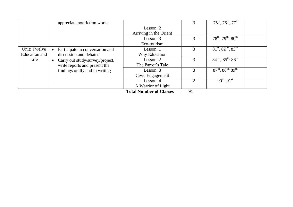|               |           | appreciate nonfiction works     |                         |                             | $75^{\text{th}}$ , $76^{\text{th}}$ , $77^{\text{th}}$ |  |
|---------------|-----------|---------------------------------|-------------------------|-----------------------------|--------------------------------------------------------|--|
|               |           |                                 | Lesson: 2               |                             |                                                        |  |
|               |           |                                 | Arriving in the Orient  |                             |                                                        |  |
|               |           |                                 | Lesson: 3               |                             | $78^{th}$ , $79^{th}$ , $80^{th}$                      |  |
|               |           |                                 | Eco-tourism             |                             |                                                        |  |
| Unit: Twelve  |           | Participate in conversation and | Lesson: 1               |                             | $81st$ , $82nd$ , $83rd$                               |  |
| Education and |           | discussion and debates          | Why Education           |                             |                                                        |  |
| Life          | $\bullet$ | Carry out study/survey/project, | Lesson: $2$             | 3                           | $84^{th}$ , $85^{th}$ , $86^{th}$                      |  |
|               |           | write reports and present the   | The Parrot's Tale       |                             |                                                        |  |
|               |           | findings orally and in writing  | Lesson: 3               |                             | $87^{th}$ , $88^{th}$ , $89^{th}$                      |  |
|               |           |                                 | Civic Engagement        |                             |                                                        |  |
|               |           |                                 | Lesson: 4               | $\mathcal{D}_{\mathcal{L}}$ | $90^{th}$ , $91^{st}$                                  |  |
|               |           |                                 | A Warrior of Light      |                             |                                                        |  |
|               |           |                                 | Total Number of Classes | <b>01</b>                   |                                                        |  |

**Total Number of Classes 91**